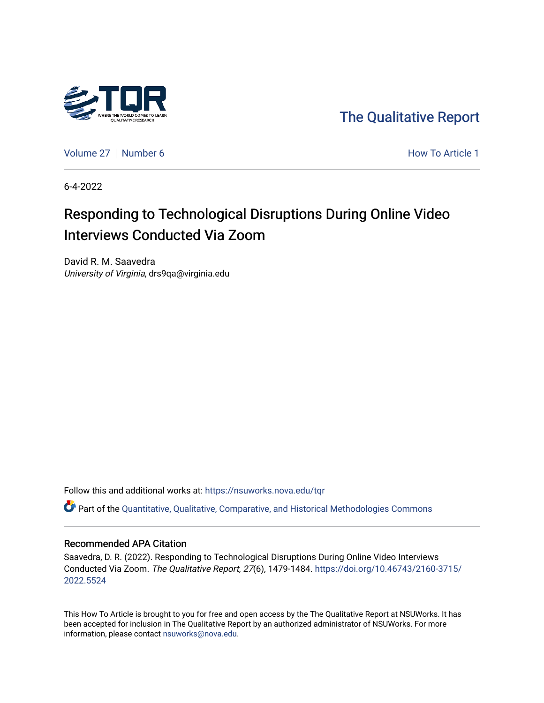

[The Qualitative Report](https://nsuworks.nova.edu/tqr) 

[Volume 27](https://nsuworks.nova.edu/tqr/vol27) | [Number 6](https://nsuworks.nova.edu/tqr/vol27/iss6) **How To Article 1** How To Article 1

6-4-2022

# Responding to Technological Disruptions During Online Video Interviews Conducted Via Zoom

David R. M. Saavedra University of Virginia, drs9qa@virginia.edu

Follow this and additional works at: [https://nsuworks.nova.edu/tqr](https://nsuworks.nova.edu/tqr?utm_source=nsuworks.nova.edu%2Ftqr%2Fvol27%2Fiss6%2F1&utm_medium=PDF&utm_campaign=PDFCoverPages) 

Part of the [Quantitative, Qualitative, Comparative, and Historical Methodologies Commons](https://network.bepress.com/hgg/discipline/423?utm_source=nsuworks.nova.edu%2Ftqr%2Fvol27%2Fiss6%2F1&utm_medium=PDF&utm_campaign=PDFCoverPages) 

### Recommended APA Citation

Saavedra, D. R. (2022). Responding to Technological Disruptions During Online Video Interviews Conducted Via Zoom. The Qualitative Report, 27(6), 1479-1484. [https://doi.org/10.46743/2160-3715/](https://doi.org/10.46743/2160-3715/2022.5524) [2022.5524](https://doi.org/10.46743/2160-3715/2022.5524) 

This How To Article is brought to you for free and open access by the The Qualitative Report at NSUWorks. It has been accepted for inclusion in The Qualitative Report by an authorized administrator of NSUWorks. For more information, please contact [nsuworks@nova.edu.](mailto:nsuworks@nova.edu)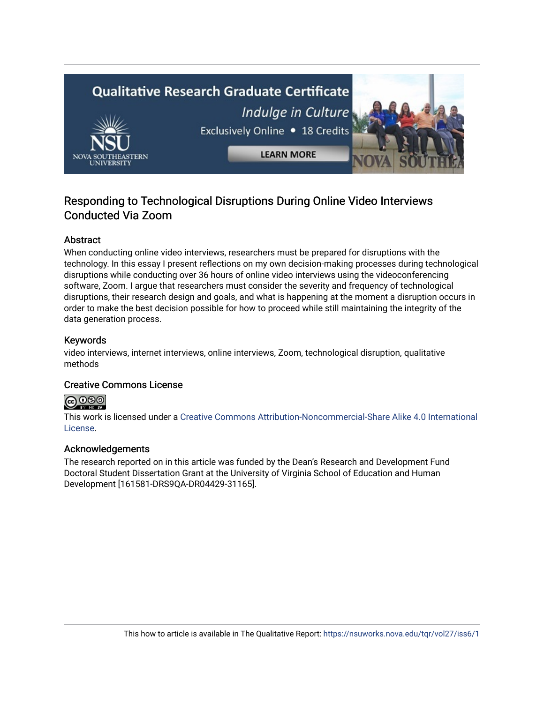# **Qualitative Research Graduate Certificate** Indulge in Culture Exclusively Online . 18 Credits

**LEARN MORE** 

# Responding to Technological Disruptions During Online Video Interviews Conducted Via Zoom

# Abstract

When conducting online video interviews, researchers must be prepared for disruptions with the technology. In this essay I present reflections on my own decision-making processes during technological disruptions while conducting over 36 hours of online video interviews using the videoconferencing software, Zoom. I argue that researchers must consider the severity and frequency of technological disruptions, their research design and goals, and what is happening at the moment a disruption occurs in order to make the best decision possible for how to proceed while still maintaining the integrity of the data generation process.

## Keywords

video interviews, internet interviews, online interviews, Zoom, technological disruption, qualitative methods

# Creative Commons License



This work is licensed under a [Creative Commons Attribution-Noncommercial-Share Alike 4.0 International](https://creativecommons.org/licenses/by-nc-sa/4.0/)  [License](https://creativecommons.org/licenses/by-nc-sa/4.0/).

# Acknowledgements

The research reported on in this article was funded by the Dean's Research and Development Fund Doctoral Student Dissertation Grant at the University of Virginia School of Education and Human Development [161581-DRS9QA-DR04429-31165].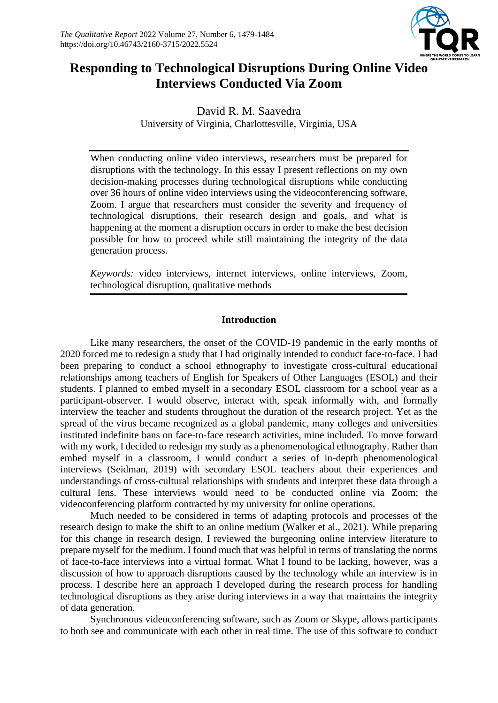

# **Responding to Technological Disruptions During Online Video Interviews Conducted Via Zoom**

David R. M. Saavedra University of Virginia, Charlottesville, Virginia, USA

When conducting online video interviews, researchers must be prepared for disruptions with the technology. In this essay I present reflections on my own decision-making processes during technological disruptions while conducting over 36 hours of online video interviews using the videoconferencing software, Zoom. I argue that researchers must consider the severity and frequency of technological disruptions, their research design and goals, and what is happening at the moment a disruption occurs in order to make the best decision possible for how to proceed while still maintaining the integrity of the data generation process.

*Keywords:* video interviews, internet interviews, online interviews, Zoom, technological disruption, qualitative methods

## **Introduction**

Like many researchers, the onset of the COVID-19 pandemic in the early months of 2020 forced me to redesign a study that I had originally intended to conduct face-to-face. I had been preparing to conduct a school ethnography to investigate cross-cultural educational relationships among teachers of English for Speakers of Other Languages (ESOL) and their students. I planned to embed myself in a secondary ESOL classroom for a school year as a participant-observer. I would observe, interact with, speak informally with, and formally interview the teacher and students throughout the duration of the research project. Yet as the spread of the virus became recognized as a global pandemic, many colleges and universities instituted indefinite bans on face-to-face research activities, mine included. To move forward with my work, I decided to redesign my study as a phenomenological ethnography. Rather than embed myself in a classroom, I would conduct a series of in-depth phenomenological interviews (Seidman, 2019) with secondary ESOL teachers about their experiences and understandings of cross-cultural relationships with students and interpret these data through a cultural lens. These interviews would need to be conducted online via Zoom; the videoconferencing platform contracted by my university for online operations.

Much needed to be considered in terms of adapting protocols and processes of the research design to make the shift to an online medium (Walker et al., 2021). While preparing for this change in research design, I reviewed the burgeoning online interview literature to prepare myself for the medium. I found much that was helpful in terms of translating the norms of face-to-face interviews into a virtual format. What I found to be lacking, however, was a discussion of how to approach disruptions caused by the technology while an interview is in process. I describe here an approach I developed during the research process for handling technological disruptions as they arise during interviews in a way that maintains the integrity of data generation.

Synchronous videoconferencing software, such as Zoom or Skype, allows participants to both see and communicate with each other in real time. The use of this software to conduct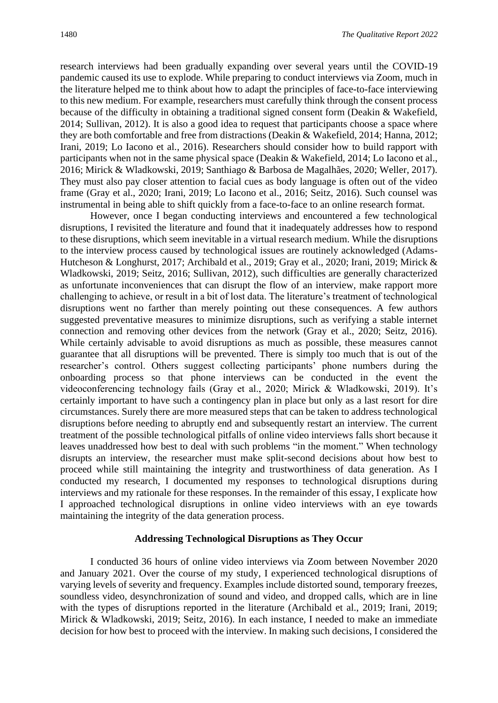research interviews had been gradually expanding over several years until the COVID-19 pandemic caused its use to explode. While preparing to conduct interviews via Zoom, much in the literature helped me to think about how to adapt the principles of face-to-face interviewing to this new medium. For example, researchers must carefully think through the consent process because of the difficulty in obtaining a traditional signed consent form (Deakin & Wakefield, 2014; Sullivan, 2012). It is also a good idea to request that participants choose a space where they are both comfortable and free from distractions (Deakin & Wakefield, 2014; Hanna, 2012; Irani, 2019; Lo Iacono et al., 2016). Researchers should consider how to build rapport with participants when not in the same physical space (Deakin & Wakefield, 2014; Lo Iacono et al., 2016; Mirick & Wladkowski, 2019; Santhiago & Barbosa de Magalhães, 2020; Weller, 2017). They must also pay closer attention to facial cues as body language is often out of the video frame (Gray et al., 2020; Irani, 2019; Lo Iacono et al., 2016; Seitz, 2016). Such counsel was instrumental in being able to shift quickly from a face-to-face to an online research format.

However, once I began conducting interviews and encountered a few technological disruptions, I revisited the literature and found that it inadequately addresses how to respond to these disruptions, which seem inevitable in a virtual research medium. While the disruptions to the interview process caused by technological issues are routinely acknowledged (Adams-Hutcheson & Longhurst, 2017; Archibald et al., 2019; Gray et al., 2020; Irani, 2019; Mirick & Wladkowski, 2019; Seitz, 2016; Sullivan, 2012), such difficulties are generally characterized as unfortunate inconveniences that can disrupt the flow of an interview, make rapport more challenging to achieve, or result in a bit of lost data. The literature's treatment of technological disruptions went no farther than merely pointing out these consequences. A few authors suggested preventative measures to minimize disruptions, such as verifying a stable internet connection and removing other devices from the network (Gray et al., 2020; Seitz, 2016). While certainly advisable to avoid disruptions as much as possible, these measures cannot guarantee that all disruptions will be prevented. There is simply too much that is out of the researcher's control. Others suggest collecting participants' phone numbers during the onboarding process so that phone interviews can be conducted in the event the videoconferencing technology fails (Gray et al., 2020; Mirick & Wladkowski, 2019). It's certainly important to have such a contingency plan in place but only as a last resort for dire circumstances. Surely there are more measured steps that can be taken to address technological disruptions before needing to abruptly end and subsequently restart an interview. The current treatment of the possible technological pitfalls of online video interviews falls short because it leaves unaddressed how best to deal with such problems "in the moment." When technology disrupts an interview, the researcher must make split-second decisions about how best to proceed while still maintaining the integrity and trustworthiness of data generation. As I conducted my research, I documented my responses to technological disruptions during interviews and my rationale for these responses. In the remainder of this essay, I explicate how I approached technological disruptions in online video interviews with an eye towards maintaining the integrity of the data generation process.

### **Addressing Technological Disruptions as They Occur**

I conducted 36 hours of online video interviews via Zoom between November 2020 and January 2021. Over the course of my study, I experienced technological disruptions of varying levels of severity and frequency. Examples include distorted sound, temporary freezes, soundless video, desynchronization of sound and video, and dropped calls, which are in line with the types of disruptions reported in the literature (Archibald et al., 2019; Irani, 2019; Mirick & Wladkowski, 2019; Seitz, 2016). In each instance, I needed to make an immediate decision for how best to proceed with the interview. In making such decisions, I considered the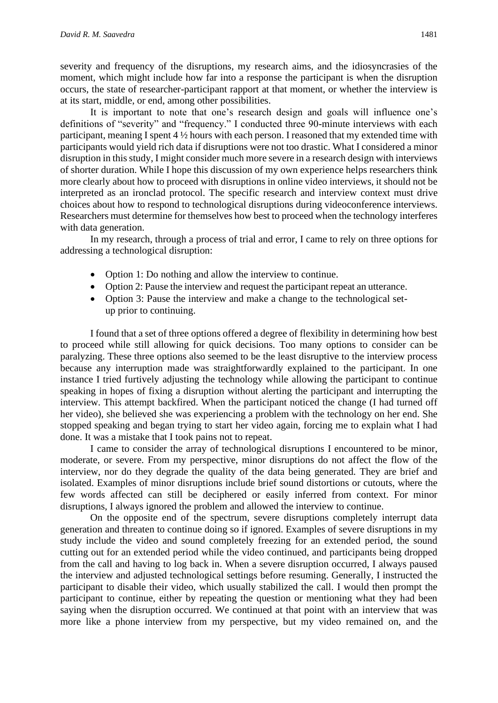severity and frequency of the disruptions, my research aims, and the idiosyncrasies of the moment, which might include how far into a response the participant is when the disruption occurs, the state of researcher-participant rapport at that moment, or whether the interview is at its start, middle, or end, among other possibilities.

It is important to note that one's research design and goals will influence one's definitions of "severity" and "frequency." I conducted three 90-minute interviews with each participant, meaning I spent  $4\frac{1}{2}$  hours with each person. I reasoned that my extended time with participants would yield rich data if disruptions were not too drastic. What I considered a minor disruption in this study, I might consider much more severe in a research design with interviews of shorter duration. While I hope this discussion of my own experience helps researchers think more clearly about how to proceed with disruptions in online video interviews, it should not be interpreted as an ironclad protocol. The specific research and interview context must drive choices about how to respond to technological disruptions during videoconference interviews. Researchers must determine for themselves how best to proceed when the technology interferes with data generation.

In my research, through a process of trial and error, I came to rely on three options for addressing a technological disruption:

- Option 1: Do nothing and allow the interview to continue.
- Option 2: Pause the interview and request the participant repeat an utterance.
- Option 3: Pause the interview and make a change to the technological setup prior to continuing.

I found that a set of three options offered a degree of flexibility in determining how best to proceed while still allowing for quick decisions. Too many options to consider can be paralyzing. These three options also seemed to be the least disruptive to the interview process because any interruption made was straightforwardly explained to the participant. In one instance I tried furtively adjusting the technology while allowing the participant to continue speaking in hopes of fixing a disruption without alerting the participant and interrupting the interview. This attempt backfired. When the participant noticed the change (I had turned off her video), she believed she was experiencing a problem with the technology on her end. She stopped speaking and began trying to start her video again, forcing me to explain what I had done. It was a mistake that I took pains not to repeat.

I came to consider the array of technological disruptions I encountered to be minor, moderate, or severe. From my perspective, minor disruptions do not affect the flow of the interview, nor do they degrade the quality of the data being generated. They are brief and isolated. Examples of minor disruptions include brief sound distortions or cutouts, where the few words affected can still be deciphered or easily inferred from context. For minor disruptions, I always ignored the problem and allowed the interview to continue.

On the opposite end of the spectrum, severe disruptions completely interrupt data generation and threaten to continue doing so if ignored. Examples of severe disruptions in my study include the video and sound completely freezing for an extended period, the sound cutting out for an extended period while the video continued, and participants being dropped from the call and having to log back in. When a severe disruption occurred, I always paused the interview and adjusted technological settings before resuming. Generally, I instructed the participant to disable their video, which usually stabilized the call. I would then prompt the participant to continue, either by repeating the question or mentioning what they had been saying when the disruption occurred. We continued at that point with an interview that was more like a phone interview from my perspective, but my video remained on, and the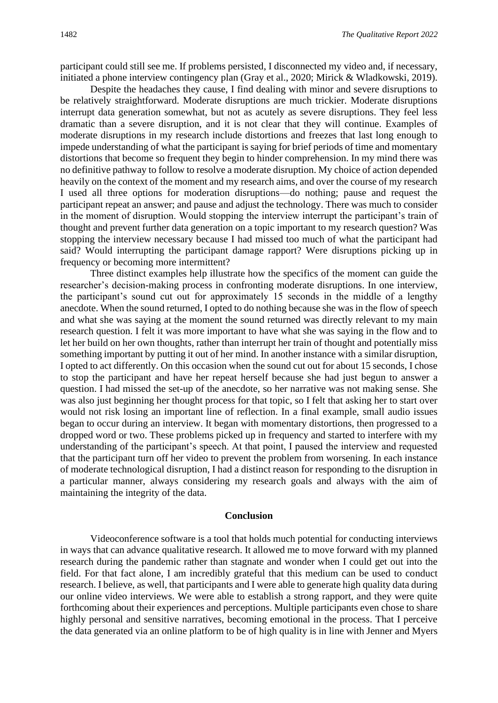participant could still see me. If problems persisted, I disconnected my video and, if necessary, initiated a phone interview contingency plan (Gray et al., 2020; Mirick & Wladkowski, 2019).

Despite the headaches they cause, I find dealing with minor and severe disruptions to be relatively straightforward. Moderate disruptions are much trickier. Moderate disruptions interrupt data generation somewhat, but not as acutely as severe disruptions. They feel less dramatic than a severe disruption, and it is not clear that they will continue. Examples of moderate disruptions in my research include distortions and freezes that last long enough to impede understanding of what the participant is saying for brief periods of time and momentary distortions that become so frequent they begin to hinder comprehension. In my mind there was no definitive pathway to follow to resolve a moderate disruption. My choice of action depended heavily on the context of the moment and my research aims, and over the course of my research I used all three options for moderation disruptions—do nothing; pause and request the participant repeat an answer; and pause and adjust the technology. There was much to consider in the moment of disruption. Would stopping the interview interrupt the participant's train of thought and prevent further data generation on a topic important to my research question? Was stopping the interview necessary because I had missed too much of what the participant had said? Would interrupting the participant damage rapport? Were disruptions picking up in frequency or becoming more intermittent?

Three distinct examples help illustrate how the specifics of the moment can guide the researcher's decision-making process in confronting moderate disruptions. In one interview, the participant's sound cut out for approximately 15 seconds in the middle of a lengthy anecdote. When the sound returned, I opted to do nothing because she was in the flow of speech and what she was saying at the moment the sound returned was directly relevant to my main research question. I felt it was more important to have what she was saying in the flow and to let her build on her own thoughts, rather than interrupt her train of thought and potentially miss something important by putting it out of her mind. In another instance with a similar disruption, I opted to act differently. On this occasion when the sound cut out for about 15 seconds, I chose to stop the participant and have her repeat herself because she had just begun to answer a question. I had missed the set-up of the anecdote, so her narrative was not making sense. She was also just beginning her thought process for that topic, so I felt that asking her to start over would not risk losing an important line of reflection. In a final example, small audio issues began to occur during an interview. It began with momentary distortions, then progressed to a dropped word or two. These problems picked up in frequency and started to interfere with my understanding of the participant's speech. At that point, I paused the interview and requested that the participant turn off her video to prevent the problem from worsening. In each instance of moderate technological disruption, I had a distinct reason for responding to the disruption in a particular manner, always considering my research goals and always with the aim of maintaining the integrity of the data.

#### **Conclusion**

Videoconference software is a tool that holds much potential for conducting interviews in ways that can advance qualitative research. It allowed me to move forward with my planned research during the pandemic rather than stagnate and wonder when I could get out into the field. For that fact alone, I am incredibly grateful that this medium can be used to conduct research. I believe, as well, that participants and I were able to generate high quality data during our online video interviews. We were able to establish a strong rapport, and they were quite forthcoming about their experiences and perceptions. Multiple participants even chose to share highly personal and sensitive narratives, becoming emotional in the process. That I perceive the data generated via an online platform to be of high quality is in line with Jenner and Myers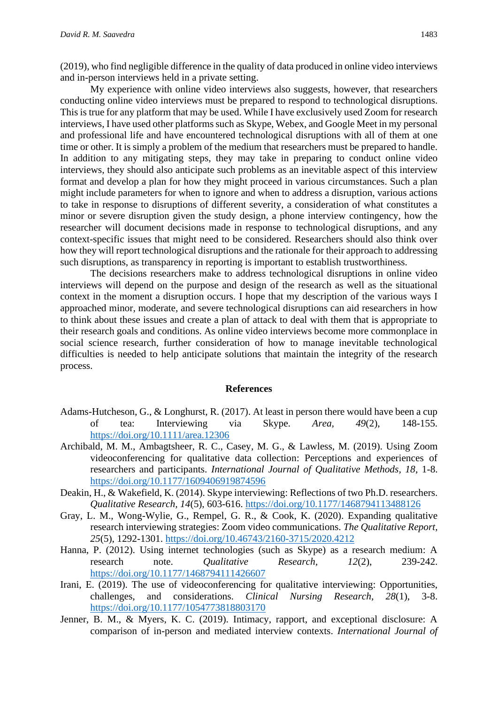(2019), who find negligible difference in the quality of data produced in online video interviews and in-person interviews held in a private setting.

My experience with online video interviews also suggests, however, that researchers conducting online video interviews must be prepared to respond to technological disruptions. This is true for any platform that may be used. While I have exclusively used Zoom for research interviews, I have used other platforms such as Skype, Webex, and Google Meet in my personal and professional life and have encountered technological disruptions with all of them at one time or other. It is simply a problem of the medium that researchers must be prepared to handle. In addition to any mitigating steps, they may take in preparing to conduct online video interviews, they should also anticipate such problems as an inevitable aspect of this interview format and develop a plan for how they might proceed in various circumstances. Such a plan might include parameters for when to ignore and when to address a disruption, various actions to take in response to disruptions of different severity, a consideration of what constitutes a minor or severe disruption given the study design, a phone interview contingency, how the researcher will document decisions made in response to technological disruptions, and any context-specific issues that might need to be considered. Researchers should also think over how they will report technological disruptions and the rationale for their approach to addressing such disruptions, as transparency in reporting is important to establish trustworthiness.

The decisions researchers make to address technological disruptions in online video interviews will depend on the purpose and design of the research as well as the situational context in the moment a disruption occurs. I hope that my description of the various ways I approached minor, moderate, and severe technological disruptions can aid researchers in how to think about these issues and create a plan of attack to deal with them that is appropriate to their research goals and conditions. As online video interviews become more commonplace in social science research, further consideration of how to manage inevitable technological difficulties is needed to help anticipate solutions that maintain the integrity of the research process.

#### **References**

- Adams-Hutcheson, G., & Longhurst, R. (2017). At least in person there would have been a cup of tea: Interviewing via Skype. *Area, 49*(2), 148-155. <https://doi.org/10.1111/area.12306>
- Archibald, M. M., Ambagtsheer, R. C., Casey, M. G., & Lawless, M. (2019). Using Zoom videoconferencing for qualitative data collection: Perceptions and experiences of researchers and participants. *International Journal of Qualitative Methods, 18*, 1-8. <https://doi.org/10.1177/1609406919874596>
- Deakin, H., & Wakefield, K. (2014). Skype interviewing: Reflections of two Ph.D. researchers. *Qualitative Research, 14*(5), 603-616.<https://doi.org/10.1177/1468794113488126>
- Gray, L. M., Wong-Wylie, G., Rempel, G. R., & Cook, K. (2020). Expanding qualitative research interviewing strategies: Zoom video communications. *The Qualitative Report, 25*(5), 1292-1301.<https://doi.org/10.46743/2160-3715/2020.4212>
- Hanna, P. (2012). Using internet technologies (such as Skype) as a research medium: A research note. *Qualitative Research, 12*(2), 239-242. <https://doi.org/10.1177/1468794111426607>
- Irani, E. (2019). The use of videoconferencing for qualitative interviewing: Opportunities, challenges, and considerations. *Clinical Nursing Research, 28*(1), 3-8. <https://doi.org/10.1177/1054773818803170>
- Jenner, B. M., & Myers, K. C. (2019). Intimacy, rapport, and exceptional disclosure: A comparison of in-person and mediated interview contexts. *International Journal of*